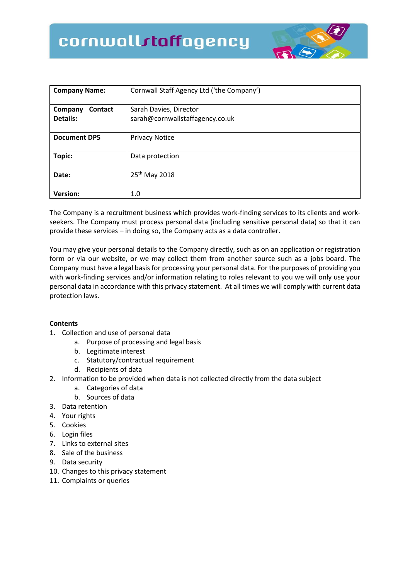# cornwallstaffagency



| <b>Company Name:</b>           | Cornwall Staff Agency Ltd ('the Company')                 |
|--------------------------------|-----------------------------------------------------------|
| Contact<br>Company<br>Details: | Sarah Davies, Director<br>sarah@cornwallstaffagency.co.uk |
| <b>Document DP5</b>            | <b>Privacy Notice</b>                                     |
| Topic:                         | Data protection                                           |
| Date:                          | 25 <sup>th</sup> May 2018                                 |
| <b>Version:</b>                | 1.0                                                       |

The Company is a recruitment business which provides work-finding services to its clients and workseekers. The Company must process personal data (including sensitive personal data) so that it can provide these services – in doing so, the Company acts as a data controller.

You may give your personal details to the Company directly, such as on an application or registration form or via our website, or we may collect them from another source such as a jobs board. The Company must have a legal basis for processing your personal data. For the purposes of providing you with work-finding services and/or information relating to roles relevant to you we will only use your personal data in accordance with this privacy statement. At all times we will comply with current data protection laws.

# **Contents**

- 1. Collection and use of personal data
	- a. Purpose of processing and legal basis
	- b. Legitimate interest
	- c. Statutory/contractual requirement
	- d. Recipients of data
- 2. Information to be provided when data is not collected directly from the data subject
	- a. Categories of data
	- b. Sources of data
- 3. Data retention
- 4. Your rights
- 5. Cookies
- 6. Login files
- 7. Links to external sites
- 8. Sale of the business
- 9. Data security
- 10. Changes to this privacy statement
- 11. Complaints or queries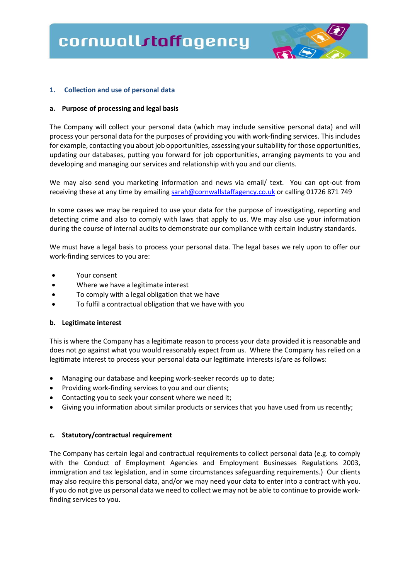

### **1. Collection and use of personal data**

### **a. Purpose of processing and legal basis**

The Company will collect your personal data (which may include sensitive personal data) and will process your personal data for the purposes of providing you with work-finding services. This includes for example, contacting you about job opportunities, assessing your suitability for those opportunities, updating our databases, putting you forward for job opportunities, arranging payments to you and developing and managing our services and relationship with you and our clients.

We may also send you marketing information and news via email/ text. You can opt-out from receiving these at any time by emailing [sarah@cornwallstaffagency.co.uk](mailto:sarah@cornwallstaffagency.co.uk) or calling 01726 871 749

In some cases we may be required to use your data for the purpose of investigating, reporting and detecting crime and also to comply with laws that apply to us. We may also use your information during the course of internal audits to demonstrate our compliance with certain industry standards.

We must have a legal basis to process your personal data. The legal bases we rely upon to offer our work-finding services to you are:

- Your consent
- Where we have a legitimate interest
- To comply with a legal obligation that we have
- To fulfil a contractual obligation that we have with you

### **b. Legitimate interest**

This is where the Company has a legitimate reason to process your data provided it is reasonable and does not go against what you would reasonably expect from us. Where the Company has relied on a legitimate interest to process your personal data our legitimate interests is/are as follows:

- Managing our database and keeping work-seeker records up to date;
- Providing work-finding services to you and our clients;
- Contacting you to seek your consent where we need it;
- Giving you information about similar products or services that you have used from us recently;

### **c. Statutory/contractual requirement**

The Company has certain legal and contractual requirements to collect personal data (e.g. to comply with the Conduct of Employment Agencies and Employment Businesses Regulations 2003, immigration and tax legislation, and in some circumstances safeguarding requirements.) Our clients may also require this personal data, and/or we may need your data to enter into a contract with you. If you do not give us personal data we need to collect we may not be able to continue to provide workfinding services to you.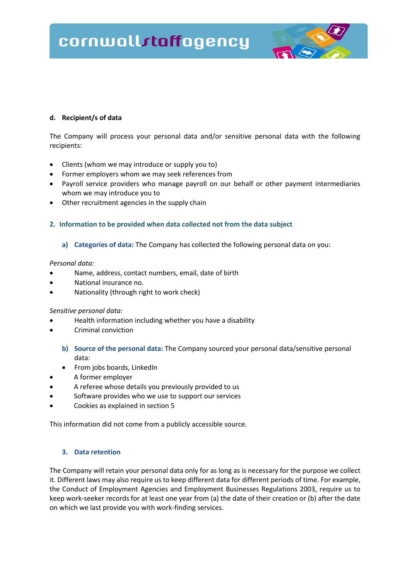# cornwallstaffagency



# **d. Recipient/s of data**

The Company will process your personal data and/or sensitive personal data with the following recipients:

- Clients (whom we may introduce or supply you to)
- Former employers whom we may seek references from
- Payroll service providers who manage payroll on our behalf or other payment intermediaries whom we may introduce you to
- Other recruitment agencies in the supply chain

# **2. Information to be provided when data collected not from the data subject**

### **a) Categories of data:** The Company has collected the following personal data on you:

### *Personal data:*

- Name, address, contact numbers, email, date of birth
- National insurance no.
- Nationality (through right to work check)

### *Sensitive personal data:*

- Health information including whether you have a disability
- Criminal conviction
	- **b) Source of the personal data:** The Company sourced your personal data/sensitive personal data:
	- From jobs boards, LinkedIn
- A former employer
- A referee whose details you previously provided to us
- Software provides who we use to support our services
- Cookies as explained in section 5

This information did not come from a publicly accessible source.

### **3. Data retention**

The Company will retain your personal data only for as long as is necessary for the purpose we collect it. Different laws may also require us to keep different data for different periods of time. For example, the Conduct of Employment Agencies and Employment Businesses Regulations 2003, require us to keep work-seeker records for at least one year from (a) the date of their creation or (b) after the date on which we last provide you with work-finding services.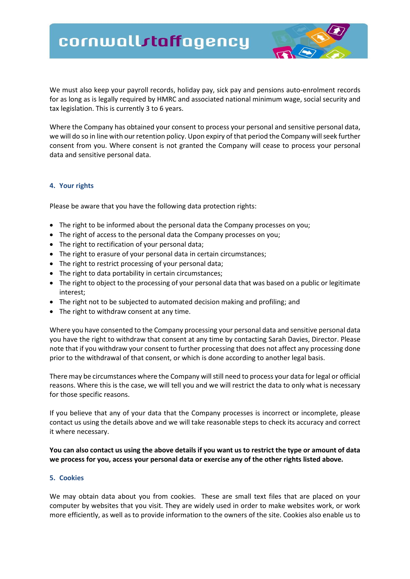# cornwallstaffagency

We must also keep your payroll records, holiday pay, sick pay and pensions auto-enrolment records for as long as is legally required by HMRC and associated national minimum wage, social security and tax legislation. This is currently 3 to 6 years.

Where the Company has obtained your consent to process your personal and sensitive personal data, we will do so in line with our retention policy. Upon expiry of that period the Company will seek further consent from you. Where consent is not granted the Company will cease to process your personal data and sensitive personal data.

### **4. Your rights**

Please be aware that you have the following data protection rights:

- The right to be informed about the personal data the Company processes on you;
- The right of access to the personal data the Company processes on you;
- The right to rectification of your personal data;
- The right to erasure of your personal data in certain circumstances;
- The right to restrict processing of your personal data;
- The right to data portability in certain circumstances;
- The right to object to the processing of your personal data that was based on a public or legitimate interest;
- The right not to be subjected to automated decision making and profiling; and
- The right to withdraw consent at any time.

Where you have consented to the Company processing your personal data and sensitive personal data you have the right to withdraw that consent at any time by contacting Sarah Davies, Director. Please note that if you withdraw your consent to further processing that does not affect any processing done prior to the withdrawal of that consent, or which is done according to another legal basis.

There may be circumstances where the Company will still need to process your data for legal or official reasons. Where this is the case, we will tell you and we will restrict the data to only what is necessary for those specific reasons.

If you believe that any of your data that the Company processes is incorrect or incomplete, please contact us using the details above and we will take reasonable steps to check its accuracy and correct it where necessary.

# **You can also contact us using the above details if you want us to restrict the type or amount of data we process for you, access your personal data or exercise any of the other rights listed above.**

#### **5. Cookies**

We may obtain data about you from cookies. These are small text files that are placed on your computer by websites that you visit. They are widely used in order to make websites work, or work more efficiently, as well as to provide information to the owners of the site. Cookies also enable us to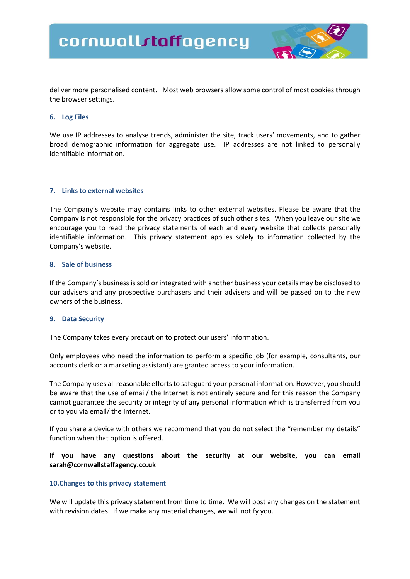

deliver more personalised content. Most web browsers allow some control of most cookies through the browser settings.

### **6. Log Files**

We use IP addresses to analyse trends, administer the site, track users' movements, and to gather broad demographic information for aggregate use. IP addresses are not linked to personally identifiable information.

### **7. Links to external websites**

The Company's website may contains links to other external websites. Please be aware that the Company is not responsible for the privacy practices of such other sites. When you leave our site we encourage you to read the privacy statements of each and every website that collects personally identifiable information. This privacy statement applies solely to information collected by the Company's website.

### **8. Sale of business**

If the Company's business is sold or integrated with another business your details may be disclosed to our advisers and any prospective purchasers and their advisers and will be passed on to the new owners of the business.

### **9. Data Security**

The Company takes every precaution to protect our users' information.

Only employees who need the information to perform a specific job (for example, consultants, our accounts clerk or a marketing assistant) are granted access to your information.

The Company uses all reasonable efforts to safeguard your personal information. However, you should be aware that the use of email/ the Internet is not entirely secure and for this reason the Company cannot guarantee the security or integrity of any personal information which is transferred from you or to you via email/ the Internet.

If you share a device with others we recommend that you do not select the "remember my details" function when that option is offered.

# **If you have any questions about the security at our website, you can email sarah@cornwallstaffagency.co.uk**

### **10.Changes to this privacy statement**

We will update this privacy statement from time to time. We will post any changes on the statement with revision dates. If we make any material changes, we will notify you.